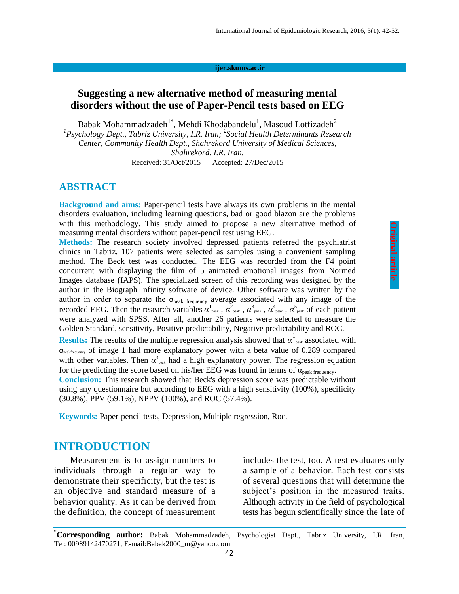#### **ijer.skums.ac.ir**

# **Suggesting a new alternative method of measuring mental disorders without the use of Paper-Pencil tests based on EEG**

Babak Mohammadzadeh<sup>1\*</sup>, Mehdi Khodabandelu<sup>1</sup>, Masoud Lotfizadeh<sup>2</sup> <sup>1</sup> Psychology Dept., Tabriz University, I.R. Iran; <sup>2</sup> Social Health Determinants Research *Center, Community Health Dept., Shahrekord University of Medical Sciences, Shahrekord, I.R. Iran.* Received: 31/Oct/2015 Accepted: 27/Dec/2015

#### **ABSTRACT**

**Background and aims:** Paper-pencil tests have always its own problems in the mental disorders evaluation, including learning questions, bad or good blazon are the problems with this methodology. This study aimed to propose a new alternative method of measuring mental disorders without paper-pencil test using EEG.

**Methods:** The research society involved depressed patients referred the psychiatrist clinics in Tabriz. 107 patients were selected as samples using a convenient sampling method. The Beck test was conducted. The EEG was recorded from the F4 point concurrent with displaying the film of 5 animated emotional images from Normed Images database (IAPS). The specialized screen of this recording was designed by the author in the Biograph Infinity software of device. Other software was written by the author in order to separate the  $\alpha_{peak\ frequency}$  average associated with any image of the recorded EEG. Then the research variables  $\alpha_{\text{peak}}^1$ ,  $\alpha_{\text{peak}}^2$ ,  $\alpha_{\text{peak}}^3$ ,  $\alpha_{\text{peak}}^4$ ,  $\alpha_{\text{peak}}^5$  of each patient were analyzed with SPSS. After all, another 26 patients were selected to measure the Golden Standard, sensitivity, Positive predictability, Negative predictability and ROC.

**Results:** The results of the multiple regression analysis showed that  $\alpha$ <sup>1</sup> peak associated with  $\alpha_{\text{peakfrequency}}$  of image 1 had more explanatory power with a beta value of 0.289 compared with other variables. Then  $\alpha_{\text{peak}}^3$  had a high explanatory power. The regression equation for the predicting the score based on his/her EEG was found in terms of  $\alpha_{peak\ frequency}$ .

**Conclusion:** This research showed that Beck's depression score was predictable without using any questionnaire but according to EEG with a high sensitivity (100%), specificity (30.8%), PPV (59.1%), NPPV (100%), and ROC (57.4%).

**Keywords:** Paper-pencil tests, Depression, Multiple regression, Roc.

# **INTRODUCTION**

Measurement is to assign numbers to individuals through a regular way to demonstrate their specificity, but the test is an objective and standard measure of a behavior quality. As it can be derived from the definition, the concept of measurement includes the test, too. A test evaluates only a sample of a behavior. Each test consists of several questions that will determine the subject's position in the measured traits. Although activity in the field of psychological tests has begun scientifically since the late of

**\*Corresponding author:** Babak Mohammadzadeh, Psychologist Dept., Tabriz University, I.R. Iran, Tel: 00989142470271, E-mail:Babak2000\_m@yahoo.com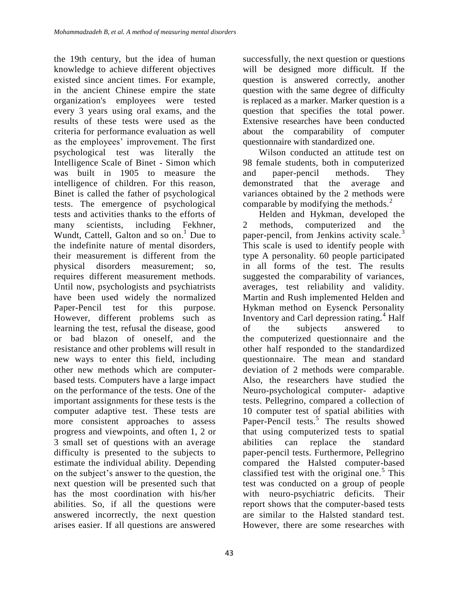the 19th century, but the idea of human knowledge to achieve different objectives existed since ancient times. For example, in the ancient Chinese empire the state organization's employees were tested every 3 years using oral exams, and the results of these tests were used as the criteria for performance evaluation as well as the employees' improvement. The first psychological test was literally the Intelligence Scale of Binet - Simon which was built in 1905 to measure the intelligence of children. For this reason, Binet is called the father of psychological tests. The emergence of psychological tests and activities thanks to the efforts of many scientists, including Fekhner, Wundt, Cattell, Galton and so on.<sup>1</sup> Due to the indefinite nature of mental disorders, their measurement is different from the physical disorders measurement; so, requires different measurement methods. Until now, psychologists and psychiatrists have been used widely the normalized Paper-Pencil test for this purpose. However, different problems such as learning the test, refusal the disease, good or bad blazon of oneself, and the resistance and other problems will result in new ways to enter this field, including other new methods which are computerbased tests. Computers have a large impact on the performance of the tests. One of the important assignments for these tests is the computer adaptive test. These tests are more consistent approaches to assess progress and viewpoints, and often 1, 2 or 3 small set of questions with an average difficulty is presented to the subjects to estimate the individual ability. Depending on the subject's answer to the question, the next question will be presented such that has the most coordination with his/her abilities. So, if all the questions were answered incorrectly, the next question arises easier. If all questions are answered

successfully, the next question or questions will be designed more difficult. If the question is answered correctly, another question with the same degree of difficulty is replaced as a marker. Marker question is a question that specifies the total power. Extensive researches have been conducted about the comparability of computer questionnaire with standardized one.

Wilson conducted an attitude test on 98 female students, both in computerized and paper-pencil methods. They demonstrated that the average and variances obtained by the 2 methods were comparable by modifying the methods.<sup>2</sup>

Helden and Hykman, developed the 2 methods, computerized and the paper-pencil, from Jenkins activity scale.<sup>3</sup> This scale is used to identify people with type A personality. 60 people participated in all forms of the test. The results suggested the comparability of variances, averages, test reliability and validity. Martin and Rush implemented Helden and Hykman method on Eysenck Personality Inventory and Carl depression rating.<sup>4</sup> Half of the subjects answered to the computerized questionnaire and the other half responded to the standardized questionnaire. The mean and standard deviation of 2 methods were comparable. Also, the researchers have studied the Neuro-psychological computer- adaptive tests. Pellegrino, compared a collection of 10 computer test of spatial abilities with Paper-Pencil tests.<sup>5</sup> The results showed that using computerized tests to spatial abilities can replace the standard paper-pencil tests. Furthermore, Pellegrino compared the Halsted computer-based classified test with the original one.<sup>5</sup> This test was conducted on a group of people with neuro-psychiatric deficits. Their report shows that the computer-based tests are similar to the Halsted standard test. However, there are some researches with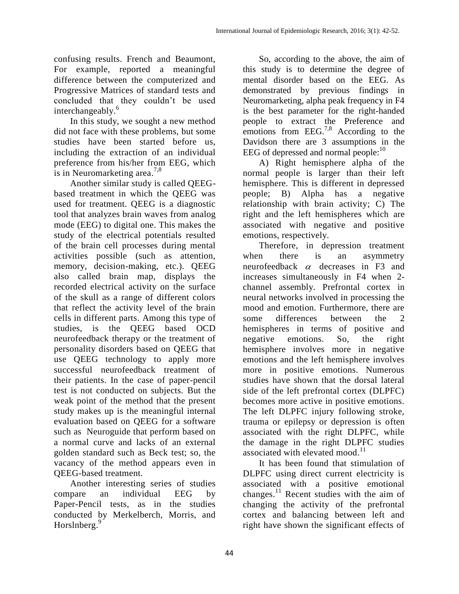confusing results. French and Beaumont, For example, reported a meaningful difference between the computerized and Progressive Matrices of standard tests and concluded that they couldn't be used interchangeably.<sup>6</sup>

In this study, we sought a new method did not face with these problems, but some studies have been started before us, including the extraction of an individual preference from his/her from EEG, which is in Neuromarketing area.<sup>7,8</sup>

Another similar study is called QEEGbased treatment in which the QEEG was used for treatment. QEEG is a diagnostic tool that analyzes brain waves from analog mode (EEG) to digital one. This makes the study of the electrical potentials resulted of the brain cell processes during mental activities possible (such as attention, memory, decision-making, etc.). QEEG also called brain map, displays the recorded electrical activity on the surface of the skull as a range of different colors that reflect the activity level of the brain cells in different parts. Among this type of studies, is the QEEG based OCD neurofeedback therapy or the treatment of personality disorders based on QEEG that use QEEG technology to apply more successful neurofeedback treatment of their patients. In the case of paper-pencil test is not conducted on subjects. But the weak point of the method that the present study makes up is the meaningful internal evaluation based on QEEG for a software such as Neuroguide that perform based on a normal curve and lacks of an external golden standard such as Beck test; so, the vacancy of the method appears even in QEEG-based treatment.

Another interesting series of studies compare an individual EEG by Paper-Pencil tests, as in the studies conducted by Merkelberch, Morris, and Horslnberg.<sup>9</sup>

So, according to the above, the aim of this study is to determine the degree of mental disorder based on the EEG. As demonstrated by previous findings in Neuromarketing, alpha peak frequency in F4 is the best parameter for the right-handed people to extract the Preference and emotions from EEG.<sup>7,8</sup> According to the Davidson there are 3 assumptions in the EEG of depressed and normal people: $10$ 

A) Right hemisphere alpha of the normal people is larger than their left hemisphere. This is different in depressed people; B) Alpha has a negative relationship with brain activity; C) The right and the left hemispheres which are associated with negative and positive emotions, respectively.

Therefore, in depression treatment when there is an asymmetry neurofeedback  $\alpha$  decreases in F3 and increases simultaneously in F4 when 2 channel assembly. Prefrontal cortex in neural networks involved in processing the mood and emotion. Furthermore, there are some differences between the 2 hemispheres in terms of positive and negative emotions. So, the right hemisphere involves more in negative emotions and the left hemisphere involves more in positive emotions. Numerous studies have shown that the dorsal lateral side of the left prefrontal cortex (DLPFC) becomes more active in positive emotions. The left DLPFC injury following stroke, trauma or epilepsy or depression is often associated with the right DLPFC, while the damage in the right DLPFC studies associated with elevated mood.<sup>11</sup>

It has been found that stimulation of DLPFC using direct current electricity is associated with a positive emotional changes.<sup>11</sup> Recent studies with the aim of changing the activity of the prefrontal cortex and balancing between left and right have shown the significant effects of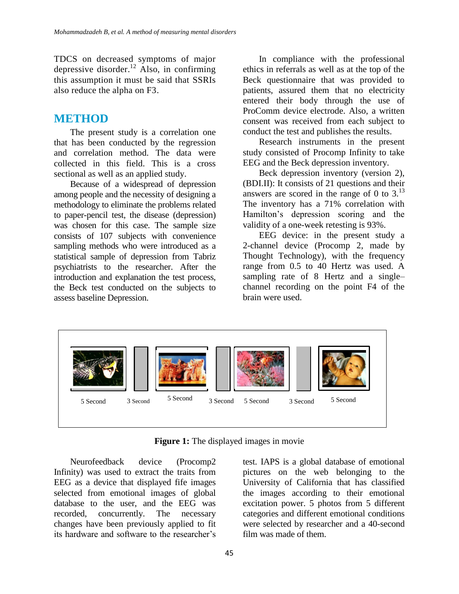TDCS on decreased symptoms of major depressive disorder.<sup>12</sup> Also, in confirming this assumption it must be said that SSRIs also reduce the alpha on F3.

# **METHOD**

The present study is a correlation one that has been conducted by the regression and correlation method. The data were collected in this field. This is a cross sectional as well as an applied study.

Because of a widespread of depression among people and the necessity of designing a methodology to eliminate the problems related to paper-pencil test, the disease (depression) was chosen for this case. The sample size consists of 107 subjects with convenience sampling methods who were introduced as a statistical sample of depression from Tabriz psychiatrists to the researcher. After the introduction and explanation the test process, the Beck test conducted on the subjects to assess baseline Depression.

In compliance with the professional ethics in referrals as well as at the top of the Beck questionnaire that was provided to patients, assured them that no electricity entered their body through the use of ProComm device electrode. Also, a written consent was received from each subject to conduct the test and publishes the results.

Research instruments in the present study consisted of Procomp Infinity to take EEG and the Beck depression inventory.

Beck depression inventory (version 2), (BDI.II): It consists of 21 questions and their answers are scored in the range of 0 to  $3<sup>13</sup>$ The inventory has a 71% correlation with Hamilton's depression scoring and the validity of a one-week retesting is 93%.

EEG device: in the present study a 2-channel device (Procomp 2, made by Thought Technology), with the frequency range from 0.5 to 40 Hertz was used. A sampling rate of 8 Hertz and a single– channel recording on the point F4 of the brain were used.



**Figure 1:** The displayed images in movie

Neurofeedback device (Procomp2 Infinity) was used to extract the traits from EEG as a device that displayed fife images selected from emotional images of global database to the user, and the EEG was recorded, concurrently. The necessary changes have been previously applied to fit its hardware and software to the researcher's

test. IAPS is a global database of emotional pictures on the web belonging to the University of California that has classified the images according to their emotional excitation power. 5 photos from 5 different categories and different emotional conditions were selected by researcher and a 40-second film was made of them.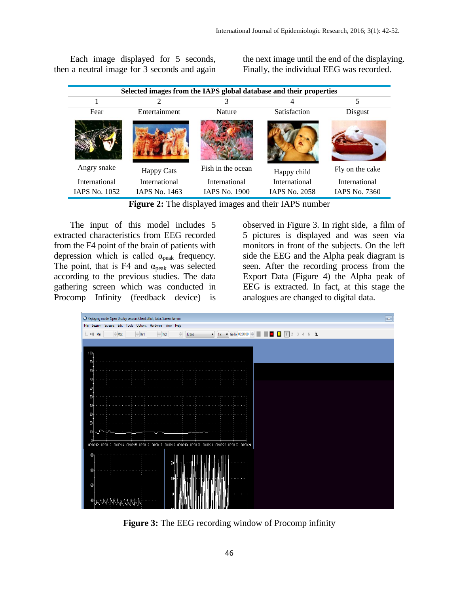Each image displayed for 5 seconds, then a neutral image for 3 seconds and again the next image until the end of the displaying. Finally, the individual EEG was recorded.

| Selected images from the IAPS global database and their properties |                      |                      |                      |                      |  |
|--------------------------------------------------------------------|----------------------|----------------------|----------------------|----------------------|--|
|                                                                    |                      |                      |                      |                      |  |
| Fear                                                               | Entertainment        | Nature               | Satisfaction         | Disgust              |  |
|                                                                    |                      |                      |                      |                      |  |
| Angry snake                                                        | <b>Happy Cats</b>    | Fish in the ocean    | Happy child          | Fly on the cake      |  |
| International                                                      | International        | International        | International        | International        |  |
| <b>IAPS No. 1052</b>                                               | <b>IAPS No. 1463</b> | <b>IAPS No. 1900</b> | <b>IAPS No. 2058</b> | <b>IAPS No. 7360</b> |  |

**Figure 2:** The displayed images and their IAPS number

The input of this model includes 5 extracted characteristics from EEG recorded from the F4 point of the brain of patients with depression which is called  $\alpha_{\text{peak}}$  frequency. The point, that is F4 and  $\alpha_{\text{peak}}$  was selected according to the previous studies. The data gathering screen which was conducted in Procomp Infinity (feedback device) is

observed in Figure 3. In right side, a film of 5 pictures is displayed and was seen via monitors in front of the subjects. On the left side the EEG and the Alpha peak diagram is seen. After the recording process from the Export Data (Figure 4) the Alpha peak of EEG is extracted. In fact, at this stage the analogues are changed to digital data.



**Figure 3:** The EEG recording window of Procomp infinity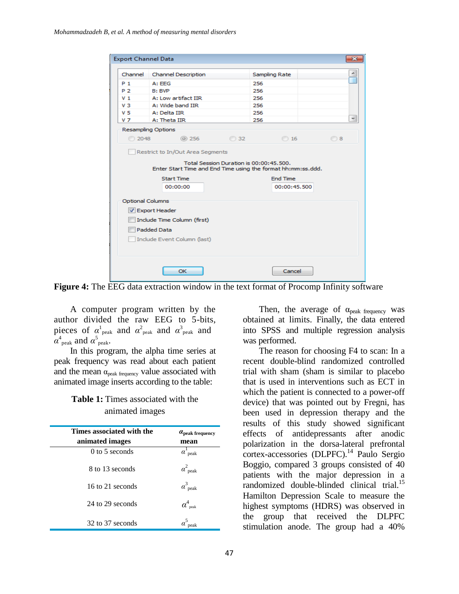| <b>Export Channel Data</b>  |                               |           |                                 |    |
|-----------------------------|-------------------------------|-----------|---------------------------------|----|
| Channel                     | <b>Channel Description</b>    |           | Sampling Rate                   |    |
| $P_1$                       | A: FFG                        | 256       |                                 |    |
| P 2                         | B: BVP                        | 256       |                                 |    |
| V 1                         | A: Low artifact IIR           | 256       |                                 |    |
| V <sub>3</sub>              | A: Wide band IIR              | 256       |                                 |    |
| V <sub>5</sub>              | A: Delta IIR                  | 256       |                                 |    |
| V <sub>7</sub>              | A: Theta IIR                  | 256       |                                 | 뉙  |
|                             | <b>Resampling Options</b>     |           |                                 |    |
| 2048                        | <b>@ 256</b>                  | <b>32</b> | 0 16                            | 08 |
|                             | <b>Start Time</b><br>00:00:00 |           | <b>End Time</b><br>00:00:45.500 |    |
| <b>Optional Columns</b>     |                               |           |                                 |    |
| <b>V</b> Export Header      |                               |           |                                 |    |
| Include Time Column (first) |                               |           |                                 |    |
| <b>Padded Data</b>          |                               |           |                                 |    |
|                             |                               |           |                                 |    |
|                             | Include Event Column (last)   |           |                                 |    |

**Figure 4:** The EEG data extraction window in the text format of Procomp Infinity software

A computer program written by the author divided the raw EEG to 5-bits, pieces of  $\alpha_{\text{peak}}^1$  and  $\alpha_{\text{peak}}^2$  and  $\alpha_{\text{peak}}^3$  and  $\alpha$ <sup>4</sup><sub>peak</sub>. and  $\alpha$ <sup>5</sup><sub>peak</sub>.

In this program, the alpha time series at peak frequency was read about each patient and the mean  $\alpha_{peak\ frequency}$  value associated with animated image inserts according to the table:

# **Table 1:** Times associated with the animated images

| Times associated with the<br>animated images | $a_{\rm peak}$ frequency<br>mean |
|----------------------------------------------|----------------------------------|
| $0$ to 5 seconds                             | $\alpha$ <sup>1</sup> peak       |
| 8 to 13 seconds                              | $\alpha^2$ <sub>peak</sub>       |
| 16 to 21 seconds                             | $\alpha$ <sup>3</sup> peak       |
| 24 to 29 seconds                             | $\alpha_{\rm \, \, peak}^4$      |
| 32 to 37 seconds                             |                                  |

Then, the average of  $\alpha_{\text{peak frequency}}$  was obtained at limits. Finally, the data entered into SPSS and multiple regression analysis was performed.

The reason for choosing F4 to scan: In a recent double-blind randomized controlled trial with sham (sham is similar to placebo that is used in interventions such as ECT in which the patient is connected to a power-off device) that was pointed out by Fregni, has been used in depression therapy and the results of this study showed significant effects of antidepressants after anodic polarization in the dorsa-lateral prefrontal  $\frac{1}{\text{cortex}-\text{accessories}}$  (DLPFC).<sup>14</sup> Paulo Sergio Boggio, compared 3 groups consisted of 40 patients with the major depression in a randomized double-blinded clinical trial.<sup>15</sup> Hamilton Depression Scale to measure the highest symptoms (HDRS) was observed in the group that received the DLPFC stimulation anode. The group had a 40%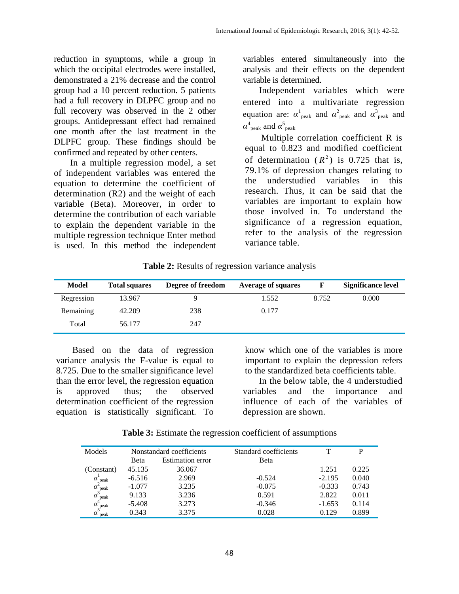reduction in symptoms, while a group in which the occipital electrodes were installed, demonstrated a 21% decrease and the control group had a 10 percent reduction. 5 patients had a full recovery in DLPFC group and no full recovery was observed in the 2 other groups. Antidepressant effect had remained one month after the last treatment in the DLPFC group. These findings should be confirmed and repeated by other centers.

In a multiple regression model, a set of independent variables was entered the equation to determine the coefficient of determination (R2) and the weight of each variable (Beta). Moreover, in order to determine the contribution of each variable to explain the dependent variable in the multiple regression technique Enter method is used. In this method the independent

variables entered simultaneously into the analysis and their effects on the dependent variable is determined.

Independent variables which were entered into a multivariate regression equation are:  $\alpha^1$ <sub>peak</sub> and  $\alpha^2$ <sub>peak</sub> and  $\alpha^3$ <sub>peak</sub> and  $\alpha_{\text{ peak}}^4$  and  $\alpha_{\text{ peak}}^5$ 

Multiple correlation coefficient R is equal to 0.823 and modified coefficient of determination  $(R^2)$  is 0.725 that is, 79.1% of depression changes relating to the understudied variables in this research. Thus, it can be said that the variables are important to explain how those involved in. To understand the significance of a regression equation, refer to the analysis of the regression variance table.

**Table 2:** Results of regression variance analysis

| <b>Model</b> | <b>Total squares</b> | Degree of freedom | <b>Average of squares</b> |       | <b>Significance level</b> |
|--------------|----------------------|-------------------|---------------------------|-------|---------------------------|
| Regression   | 13.967               | Q                 | 1.552                     | 8.752 | 0.000                     |
| Remaining    | 42.209               | 238               | 0.177                     |       |                           |
| Total        | 56.177               | 247               |                           |       |                           |

Based on the data of regression variance analysis the F-value is equal to 8.725. Due to the smaller significance level than the error level, the regression equation is approved thus; the observed determination coefficient of the regression equation is statistically significant. To

know which one of the variables is more important to explain the depression refers to the standardized beta coefficients table.

In the below table, the 4 understudied variables and the importance and influence of each of the variables of depression are shown.

| Models                                                                                                                       | Nonstandard coefficients |                         | Standard coefficients |          |       |
|------------------------------------------------------------------------------------------------------------------------------|--------------------------|-------------------------|-----------------------|----------|-------|
|                                                                                                                              | Beta                     | <b>Estimation error</b> | Beta                  |          |       |
| (Constant)                                                                                                                   | 45.135                   | 36.067                  |                       | 1.251    | 0.225 |
|                                                                                                                              | $-6.516$                 | 2.969                   | $-0.524$              | $-2.195$ | 0.040 |
|                                                                                                                              | $-1.077$                 | 3.235                   | $-0.075$              | $-0.333$ | 0.743 |
|                                                                                                                              | 9.133                    | 3.236                   | 0.591                 | 2.822    | 0.011 |
|                                                                                                                              | $-5.408$                 | 3.273                   | $-0.346$              | $-1.653$ | 0.114 |
| $\alpha^1_{\text{peak}} \ \alpha^2_{\text{peak}} \ \alpha^3_{\text{peak}} \ \alpha^4_{\text{peak}} \ \alpha^5_{\text{peak}}$ | 0.343                    | 3.375                   | 0.028                 | 0.129    | 0.899 |

**Table 3:** Estimate the regression coefficient of assumptions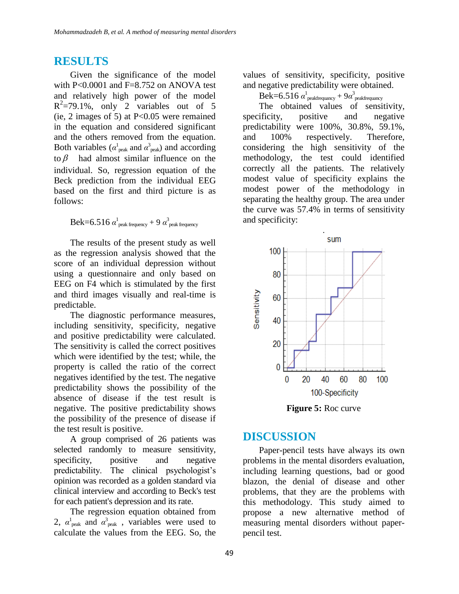### **RESULTS**

Given the significance of the model with P<0.0001 and F=8.752 on ANOVA test and relatively high power of the model  $R^2 = 79.1\%$ , only 2 variables out of 5 (ie, 2 images of 5) at P<0.05 were remained in the equation and considered significant and the others removed from the equation. Both variables ( $\alpha_{\text{peak}}^1$  and  $\alpha_{\text{peak}}^3$ ) and according to  $\beta$  had almost similar influence on the individual. So, regression equation of the Beck prediction from the individual EEG based on the first and third picture is as follows:

 $\text{Bek=}$ 6.516  $\alpha^{\text{l}}_{\text{peak frequency}}$  + 9  $\alpha^{\text{3}}_{\text{peak frequency}}$ 

The results of the present study as well as the regression analysis showed that the score of an individual depression without using a questionnaire and only based on EEG on F4 which is stimulated by the first and third images visually and real-time is predictable.

The diagnostic performance measures, including sensitivity, specificity, negative and positive predictability were calculated. The sensitivity is called the correct positives which were identified by the test; while, the property is called the ratio of the correct negatives identified by the test. The negative predictability shows the possibility of the absence of disease if the test result is negative. The positive predictability shows the possibility of the presence of disease if the test result is positive.

A group comprised of 26 patients was selected randomly to measure sensitivity, specificity, positive and negative predictability. The clinical psychologist's opinion was recorded as a golden standard via clinical interview and according to Beck's test for each patient's depression and its rate.

The regression equation obtained from 2,  $\alpha_{\text{peak}}^1$  and  $\alpha_{\text{peak}}^3$ , variables were used to calculate the values from the EEG. So, the

values of sensitivity, specificity, positive and negative predictability were obtained.

 $\text{Bek=} 6.516 \ \alpha^1_{\text{peakfrequency}} + 9 \alpha^3_{\text{peakfrequency}}$ 

The obtained values of sensitivity, specificity, positive and negative predictability were 100%, 30.8%, 59.1%, and 100% respectively. Therefore, considering the high sensitivity of the methodology, the test could identified correctly all the patients. The relatively modest value of specificity explains the modest power of the methodology in separating the healthy group. The area under the curve was 57.4% in terms of sensitivity and specificity:



**Figure 5:** Roc curve

# **DISCUSSION**

Paper-pencil tests have always its own problems in the mental disorders evaluation, including learning questions, bad or good blazon, the denial of disease and other problems, that they are the problems with this methodology. This study aimed to propose a new alternative method of measuring mental disorders without paperpencil test.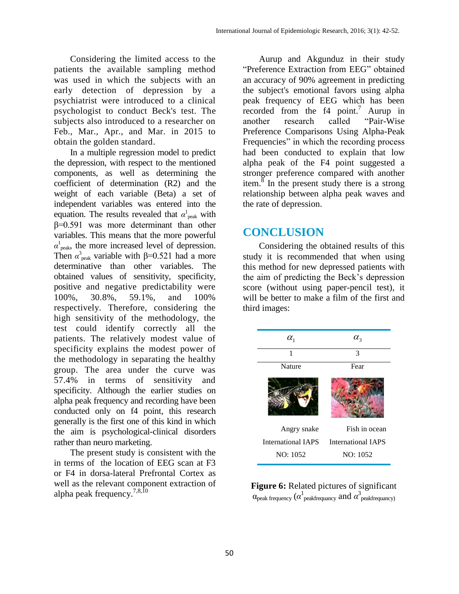Considering the limited access to the patients the available sampling method was used in which the subjects with an early detection of depression by a psychiatrist were introduced to a clinical psychologist to conduct Beck's test. The subjects also introduced to a researcher on Feb., Mar., Apr., and Mar. in 2015 to obtain the golden standard.

In a multiple regression model to predict the depression, with respect to the mentioned components, as well as determining the coefficient of determination (R2) and the weight of each variable (Beta) a set of independent variables was entered into the equation. The results revealed that  $\alpha_{\text{peak}}^1$  with β=0.591 was more determinant than other variables. This means that the more powerful  $\alpha$ <sup>1</sup><sub>peak</sub>, the more increased level of depression. Then  $\alpha_{\text{peak}}^3$  variable with  $\beta$ =0.521 had a more determinative than other variables. The obtained values of sensitivity, specificity, positive and negative predictability were 100%, 30.8%, 59.1%, and 100% respectively. Therefore, considering the high sensitivity of the methodology, the test could identify correctly all the patients. The relatively modest value of specificity explains the modest power of the methodology in separating the healthy group. The area under the curve was 57.4% in terms of sensitivity and specificity. Although the earlier studies on alpha peak frequency and recording have been conducted only on f4 point, this research generally is the first one of this kind in which the aim is psychological-clinical disorders rather than neuro marketing.

The present study is consistent with the in terms of the location of EEG scan at F3 or F4 in dorsa-lateral Prefrontal Cortex as well as the relevant component extraction of alpha peak frequency.<sup>7,8,10</sup>

Aurup and Akgunduz in their study "Preference Extraction from EEG" obtained an accuracy of 90% agreement in predicting the subject's emotional favors using alpha peak frequency of EEG which has been recorded from the  $f4$  point.<sup>7</sup> Aurup in another research called "Pair-Wise Preference Comparisons Using Alpha-Peak Frequencies" in which the recording process had been conducted to explain that low alpha peak of the F4 point suggested a stronger preference compared with another item. $\frac{8}{10}$  In the present study there is a strong relationship between alpha peak waves and the rate of depression.

# **CONCLUSION**

Considering the obtained results of this study it is recommended that when using this method for new depressed patients with the aim of predicting the Beck's depression score (without using paper-pencil test), it will be better to make a film of the first and third images:

| $\alpha_{1}$              | $\alpha_{3}$              |
|---------------------------|---------------------------|
| 1                         | $\mathcal{E}$             |
| <b>Nature</b>             | Fear                      |
|                           |                           |
| Angry snake               | Fish in ocean             |
| <b>International IAPS</b> | <b>International IAPS</b> |
| NO: 1052                  | NO: 1052                  |

**Figure 6:** Related pictures of significant  $\alpha_{\rm peak\ frequency}$  ( $\alpha_{\rm peak\ frequency}^1$  and  $\alpha_{\rm peak\ frequency}^3$ )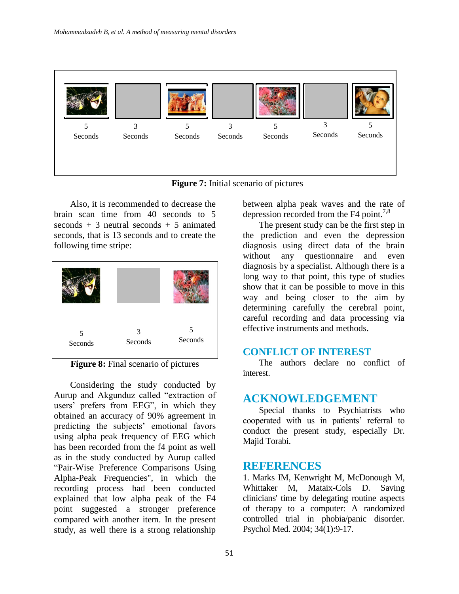

**Figure 7:** Initial scenario of pictures

Also, it is recommended to decrease the brain scan time from 40 seconds to 5 seconds  $+3$  neutral seconds  $+5$  animated seconds, that is 13 seconds and to create the following time stripe:



**Figure 8:** Final scenario of pictures

Considering the study conducted by Aurup and Akgunduz called "extraction of users' prefers from EEG", in which they obtained an accuracy of 90% agreement in predicting the subjects' emotional favors using alpha peak frequency of EEG which has been recorded from the f4 point as well as in the study conducted by Aurup called "Pair-Wise Preference Comparisons Using Alpha-Peak Frequencies", in which the recording process had been conducted explained that low alpha peak of the F4 point suggested a stronger preference compared with another item. In the present study, as well there is a strong relationship

between alpha peak waves and the rate of depression recorded from the F4 point.<sup>7,8</sup>

The present study can be the first step in the prediction and even the depression diagnosis using direct data of the brain without any questionnaire and even diagnosis by a specialist. Although there is a long way to that point, this type of studies show that it can be possible to move in this way and being closer to the aim by determining carefully the cerebral point, careful recording and data processing via effective instruments and methods.

# **CONFLICT OF INTEREST**

The authors declare no conflict of interest.

# **ACKNOWLEDGEMENT**

Special thanks to Psychiatrists who cooperated with us in patients' referral to conduct the present study, especially Dr. Majid Torabi.

# **REFERENCES**

1. Marks IM, Kenwright M, McDonough M, Whittaker M, Mataix-Cols D. Saving clinicians' time by delegating routine aspects of therapy to a computer: A randomized controlled trial in phobia/panic disorder. Psychol Med. 2004; 34(1):9-17.